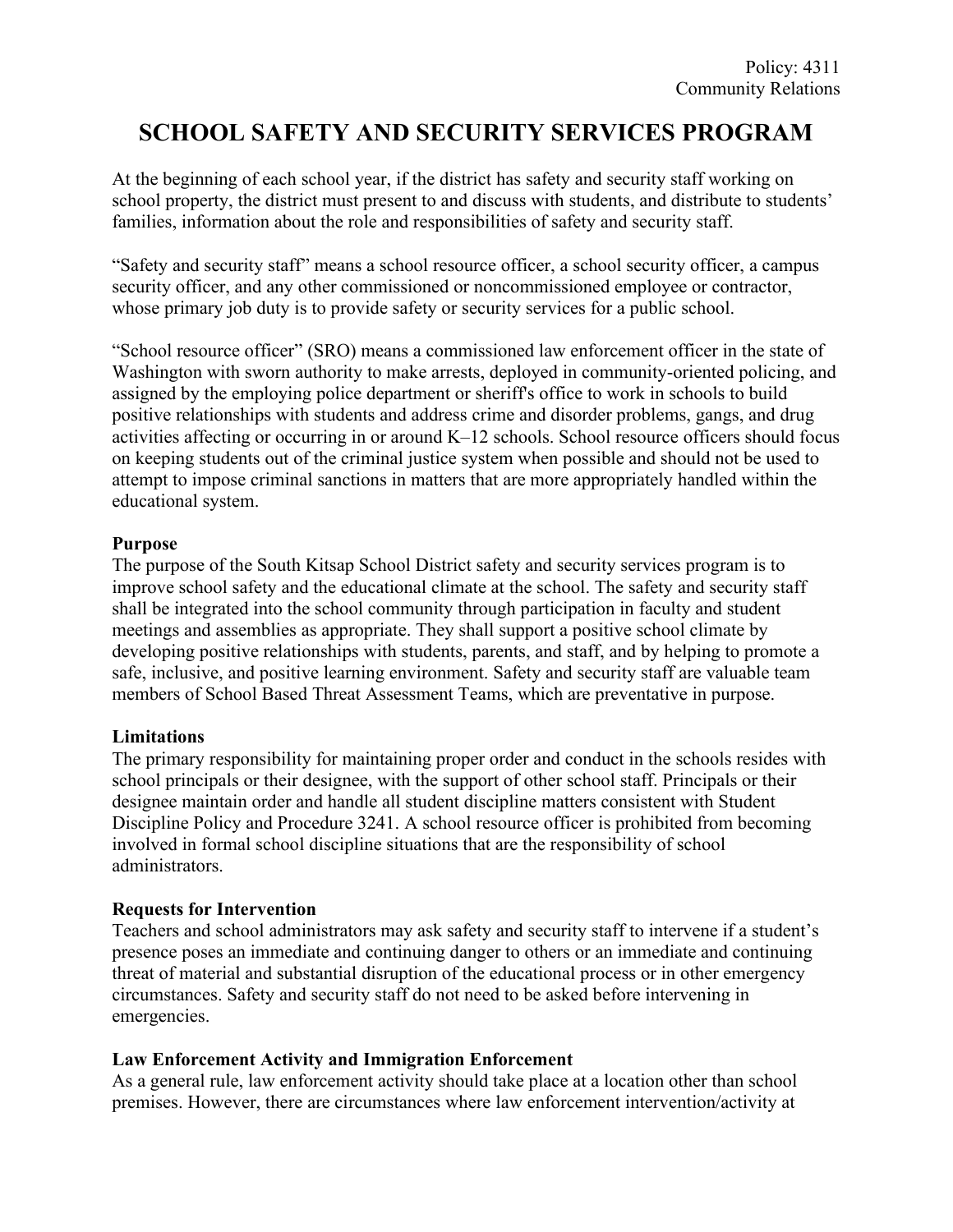# **SCHOOL SAFETY AND SECURITY SERVICES PROGRAM**

At the beginning of each school year, if the district has safety and security staff working on school property, the district must present to and discuss with students, and distribute to students' families, information about the role and responsibilities of safety and security staff.

"Safety and security staff" means a school resource officer, a school security officer, a campus security officer, and any other commissioned or noncommissioned employee or contractor, whose primary job duty is to provide safety or security services for a public school.

"School resource officer" (SRO) means a commissioned law enforcement officer in the state of Washington with sworn authority to make arrests, deployed in community-oriented policing, and assigned by the employing police department or sheriff's office to work in schools to build positive relationships with students and address crime and disorder problems, gangs, and drug activities affecting or occurring in or around K–12 schools. School resource officers should focus on keeping students out of the criminal justice system when possible and should not be used to attempt to impose criminal sanctions in matters that are more appropriately handled within the educational system.

### **Purpose**

The purpose of the South Kitsap School District safety and security services program is to improve school safety and the educational climate at the school. The safety and security staff shall be integrated into the school community through participation in faculty and student meetings and assemblies as appropriate. They shall support a positive school climate by developing positive relationships with students, parents, and staff, and by helping to promote a safe, inclusive, and positive learning environment. Safety and security staff are valuable team members of School Based Threat Assessment Teams, which are preventative in purpose.

# **Limitations**

The primary responsibility for maintaining proper order and conduct in the schools resides with school principals or their designee, with the support of other school staff. Principals or their designee maintain order and handle all student discipline matters consistent with Student Discipline Policy and Procedure 3241. A school resource officer is prohibited from becoming involved in formal school discipline situations that are the responsibility of school administrators.

# **Requests for Intervention**

Teachers and school administrators may ask safety and security staff to intervene if a student's presence poses an immediate and continuing danger to others or an immediate and continuing threat of material and substantial disruption of the educational process or in other emergency circumstances. Safety and security staff do not need to be asked before intervening in emergencies.

# **Law Enforcement Activity and Immigration Enforcement**

As a general rule, law enforcement activity should take place at a location other than school premises. However, there are circumstances where law enforcement intervention/activity at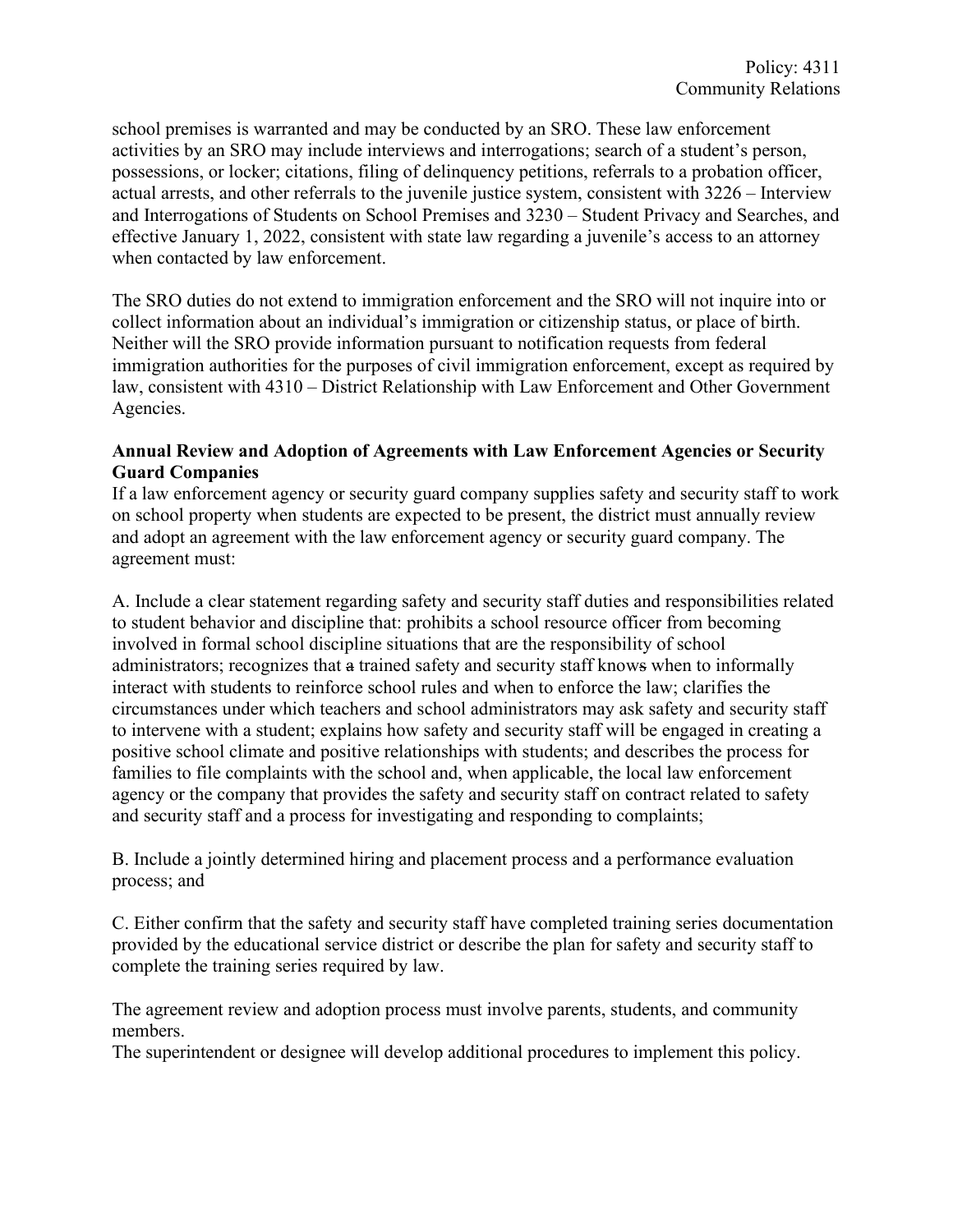school premises is warranted and may be conducted by an SRO. These law enforcement activities by an SRO may include interviews and interrogations; search of a student's person, possessions, or locker; citations, filing of delinquency petitions, referrals to a probation officer, actual arrests, and other referrals to the juvenile justice system, consistent with 3226 – Interview and Interrogations of Students on School Premises and 3230 – Student Privacy and Searches, and effective January 1, 2022, consistent with state law regarding a juvenile's access to an attorney when contacted by law enforcement.

The SRO duties do not extend to immigration enforcement and the SRO will not inquire into or collect information about an individual's immigration or citizenship status, or place of birth. Neither will the SRO provide information pursuant to notification requests from federal immigration authorities for the purposes of civil immigration enforcement, except as required by law, consistent with 4310 – District Relationship with Law Enforcement and Other Government Agencies.

### **Annual Review and Adoption of Agreements with Law Enforcement Agencies or Security Guard Companies**

If a law enforcement agency or security guard company supplies safety and security staff to work on school property when students are expected to be present, the district must annually review and adopt an agreement with the law enforcement agency or security guard company. The agreement must:

A. Include a clear statement regarding safety and security staff duties and responsibilities related to student behavior and discipline that: prohibits a school resource officer from becoming involved in formal school discipline situations that are the responsibility of school administrators; recognizes that a trained safety and security staff knows when to informally interact with students to reinforce school rules and when to enforce the law; clarifies the circumstances under which teachers and school administrators may ask safety and security staff to intervene with a student; explains how safety and security staff will be engaged in creating a positive school climate and positive relationships with students; and describes the process for families to file complaints with the school and, when applicable, the local law enforcement agency or the company that provides the safety and security staff on contract related to safety and security staff and a process for investigating and responding to complaints;

B. Include a jointly determined hiring and placement process and a performance evaluation process; and

C. Either confirm that the safety and security staff have completed training series documentation provided by the educational service district or describe the plan for safety and security staff to complete the training series required by law.

The agreement review and adoption process must involve parents, students, and community members.

The superintendent or designee will develop additional procedures to implement this policy.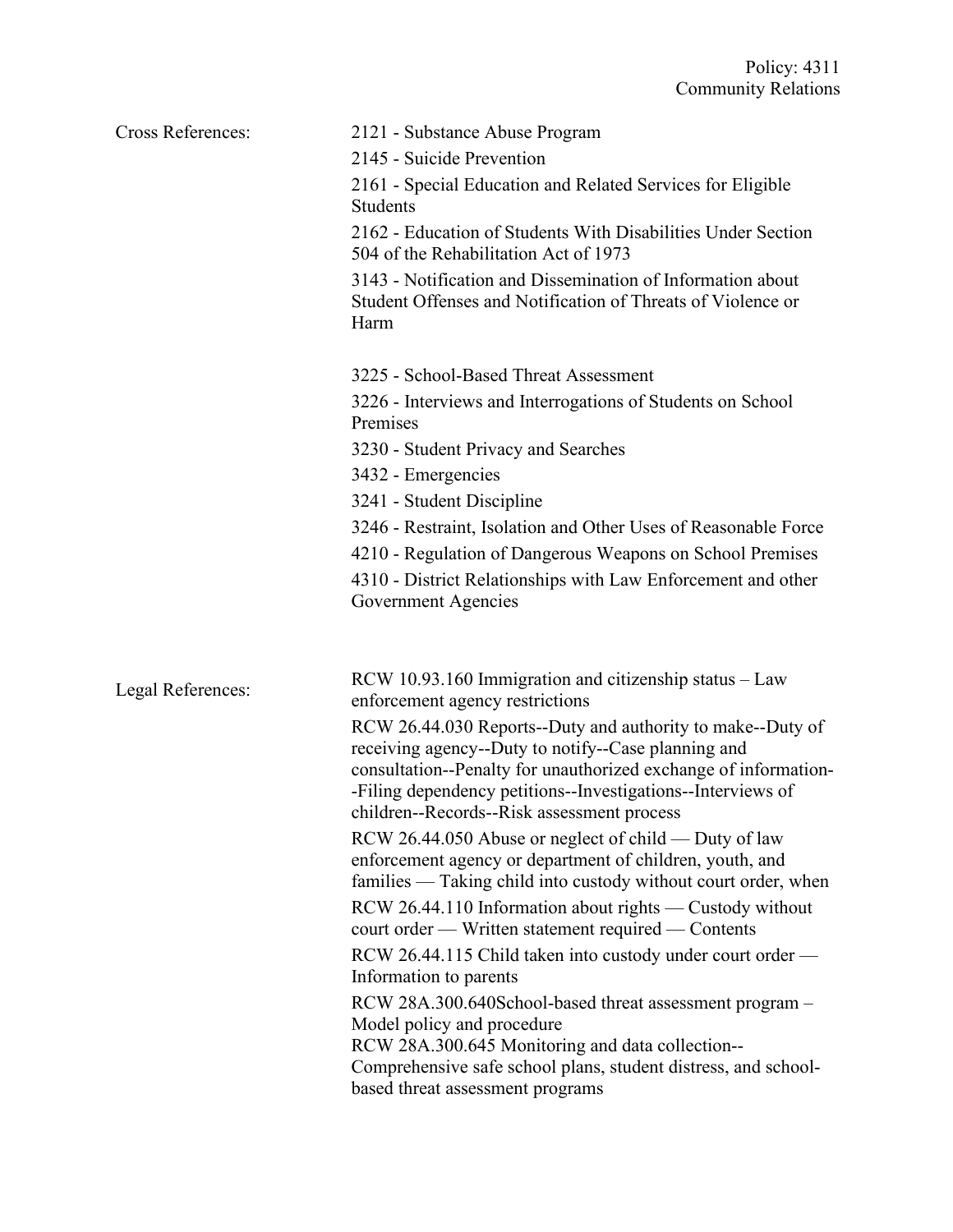| <b>Cross References:</b> | 2121 - Substance Abuse Program<br>2145 - Suicide Prevention<br>2161 - Special Education and Related Services for Eligible<br><b>Students</b><br>2162 - Education of Students With Disabilities Under Section<br>504 of the Rehabilitation Act of 1973<br>3143 - Notification and Dissemination of Information about<br>Student Offenses and Notification of Threats of Violence or<br>Harm                                                                                                                                                                                                                                                                                                                                                                                                                                                                                                                                                                                                                                                            |
|--------------------------|-------------------------------------------------------------------------------------------------------------------------------------------------------------------------------------------------------------------------------------------------------------------------------------------------------------------------------------------------------------------------------------------------------------------------------------------------------------------------------------------------------------------------------------------------------------------------------------------------------------------------------------------------------------------------------------------------------------------------------------------------------------------------------------------------------------------------------------------------------------------------------------------------------------------------------------------------------------------------------------------------------------------------------------------------------|
|                          | 3225 - School-Based Threat Assessment<br>3226 - Interviews and Interrogations of Students on School<br>Premises<br>3230 - Student Privacy and Searches<br>3432 - Emergencies<br>3241 - Student Discipline<br>3246 - Restraint, Isolation and Other Uses of Reasonable Force<br>4210 - Regulation of Dangerous Weapons on School Premises<br>4310 - District Relationships with Law Enforcement and other<br>Government Agencies                                                                                                                                                                                                                                                                                                                                                                                                                                                                                                                                                                                                                       |
| Legal References:        | $RCW$ 10.93.160 Immigration and citizenship status – Law<br>enforcement agency restrictions<br>RCW 26.44.030 Reports--Duty and authority to make--Duty of<br>receiving agency--Duty to notify--Case planning and<br>consultation--Penalty for unauthorized exchange of information-<br>-Filing dependency petitions--Investigations--Interviews of<br>children--Records--Risk assessment process<br>RCW 26.44.050 Abuse or neglect of child — Duty of law<br>enforcement agency or department of children, youth, and<br>families — Taking child into custody without court order, when<br>RCW 26.44.110 Information about rights — Custody without<br>court order - Written statement required - Contents<br>RCW 26.44.115 Child taken into custody under court order —<br>Information to parents<br>RCW 28A.300.640School-based threat assessment program -<br>Model policy and procedure<br>RCW 28A.300.645 Monitoring and data collection--<br>Comprehensive safe school plans, student distress, and school-<br>based threat assessment programs |